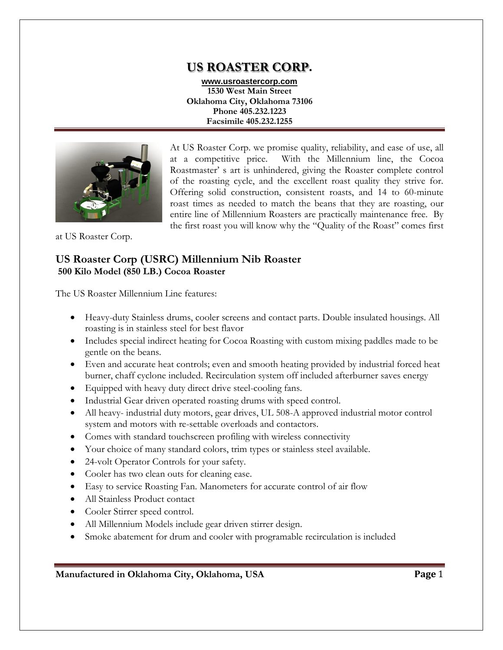# **US ROASTER CORP.**

**www.usroastercorp.com 1530 West Main Street Oklahoma City, Oklahoma 73106 Phone 405.232.1223 Facsimile 405.232.1255**



At US Roaster Corp. we promise quality, reliability, and ease of use, all at a competitive price. With the Millennium line, the Cocoa Roastmaster' s art is unhindered, giving the Roaster complete control of the roasting cycle, and the excellent roast quality they strive for. Offering solid construction, consistent roasts, and 14 to 60-minute roast times as needed to match the beans that they are roasting, our entire line of Millennium Roasters are practically maintenance free. By the first roast you will know why the "Quality of the Roast" comes first

at US Roaster Corp.

## **US Roaster Corp (USRC) Millennium Nib Roaster 500 Kilo Model (850 LB.) Cocoa Roaster**

The US Roaster Millennium Line features:

- Heavy-duty Stainless drums, cooler screens and contact parts. Double insulated housings. All roasting is in stainless steel for best flavor
- Includes special indirect heating for Cocoa Roasting with custom mixing paddles made to be gentle on the beans.
- Even and accurate heat controls; even and smooth heating provided by industrial forced heat burner, chaff cyclone included. Recirculation system off included afterburner saves energy
- Equipped with heavy duty direct drive steel-cooling fans.
- Industrial Gear driven operated roasting drums with speed control.
- All heavy- industrial duty motors, gear drives, UL 508-A approved industrial motor control system and motors with re-settable overloads and contactors.
- Comes with standard touchscreen profiling with wireless connectivity
- Your choice of many standard colors, trim types or stainless steel available.
- 24-volt Operator Controls for your safety.
- Cooler has two clean outs for cleaning ease.
- Easy to service Roasting Fan. Manometers for accurate control of air flow
- All Stainless Product contact
- Cooler Stirrer speed control.
- All Millennium Models include gear driven stirrer design.
- Smoke abatement for drum and cooler with programable recirculation is included

**Manufactured in Oklahoma City, Oklahoma, USA Page** 1